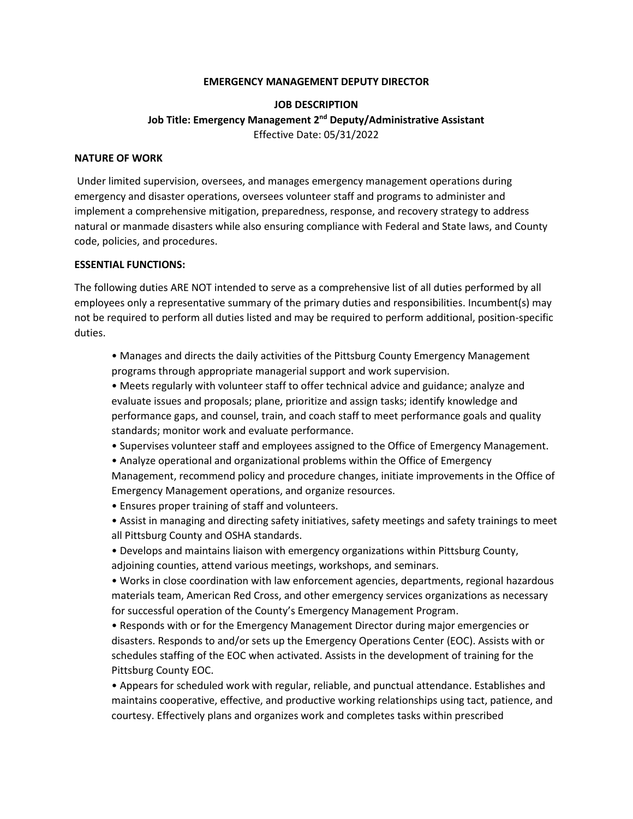#### **EMERGENCY MANAGEMENT DEPUTY DIRECTOR**

# **JOB DESCRIPTION Job Title: Emergency Management 2nd Deputy/Administrative Assistant** Effective Date: 05/31/2022

#### **NATURE OF WORK**

Under limited supervision, oversees, and manages emergency management operations during emergency and disaster operations, oversees volunteer staff and programs to administer and implement a comprehensive mitigation, preparedness, response, and recovery strategy to address natural or manmade disasters while also ensuring compliance with Federal and State laws, and County code, policies, and procedures.

#### **ESSENTIAL FUNCTIONS:**

The following duties ARE NOT intended to serve as a comprehensive list of all duties performed by all employees only a representative summary of the primary duties and responsibilities. Incumbent(s) may not be required to perform all duties listed and may be required to perform additional, position-specific duties.

• Manages and directs the daily activities of the Pittsburg County Emergency Management programs through appropriate managerial support and work supervision.

• Meets regularly with volunteer staff to offer technical advice and guidance; analyze and evaluate issues and proposals; plane, prioritize and assign tasks; identify knowledge and performance gaps, and counsel, train, and coach staff to meet performance goals and quality standards; monitor work and evaluate performance.

• Supervises volunteer staff and employees assigned to the Office of Emergency Management.

• Analyze operational and organizational problems within the Office of Emergency Management, recommend policy and procedure changes, initiate improvements in the Office of Emergency Management operations, and organize resources.

- Ensures proper training of staff and volunteers.
- Assist in managing and directing safety initiatives, safety meetings and safety trainings to meet all Pittsburg County and OSHA standards.
- Develops and maintains liaison with emergency organizations within Pittsburg County, adjoining counties, attend various meetings, workshops, and seminars.

• Works in close coordination with law enforcement agencies, departments, regional hazardous materials team, American Red Cross, and other emergency services organizations as necessary for successful operation of the County's Emergency Management Program.

• Responds with or for the Emergency Management Director during major emergencies or disasters. Responds to and/or sets up the Emergency Operations Center (EOC). Assists with or schedules staffing of the EOC when activated. Assists in the development of training for the Pittsburg County EOC.

• Appears for scheduled work with regular, reliable, and punctual attendance. Establishes and maintains cooperative, effective, and productive working relationships using tact, patience, and courtesy. Effectively plans and organizes work and completes tasks within prescribed